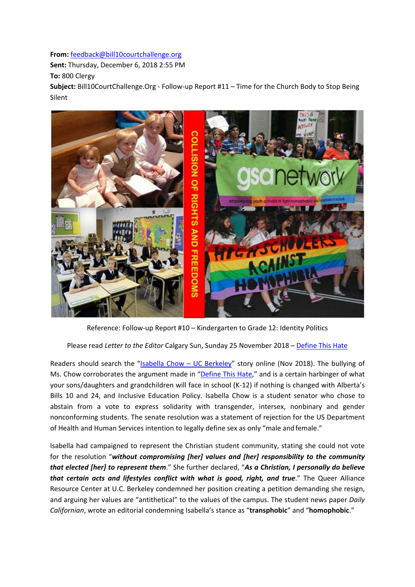**From:** [feedback@bill10courtchallenge.org](mailto:feedback@bill10courtchallenge.org)

**Sent:** Thursday, December 6, 2018 2:55 PM

**To:** 800 Clergy

**Subject:** Bill10CourtChallenge.Org - Follow-up Report #11 – Time for the Church Body to Stop Being Silent



Reference: Follow-up Report #10 – Kindergarten to Grade 12: Identity Politics

Please read *Letter to the Editor* Calgary Sun, Sunday 25 November 2018 – [Define This Hate](https://calgarysun.com/opinion/letters/letters-to-the-editor-nov-25-2)

Readers should search the "Isabella Chow - UC Berkeley" story online (Nov 2018). The bullying of Ms. Chow corroborates the argument made in ["Define This Hate,"](https://calgarysun.com/opinion/letters/letters-to-the-editor-nov-25-2) and is a certain harbinger of what your sons/daughters and grandchildren will face in school (K-12) if nothing is changed with Alberta's Bills 10 and 24, and Inclusive Education Policy. Isabella Chow is a student senator who chose to abstain from a vote to express solidarity with transgender, intersex, nonbinary and gender nonconforming students. The senate resolution was a statement of rejection for the US Department of Health and Human Services intention to legally define sex as only "male andfemale."

Isabella had campaigned to represent the Christian student community, stating she could not vote for the resolution "*without compromising [her] values and [her] responsibility to the community that elected [her] to represent them*." She further declared, "*As a Christian, I personally do believe that certain acts and lifestyles conflict with what is good, right, and true.*" The Queer Alliance Resource Center at U.C. Berkeley condemned her position creating a petition demanding she resign, and arguing her values are "antithetical" to the values of the campus. The student news paper *Daily Californian*, wrote an editorial condemning Isabella's stance as "**transphobic**" and "**homophobic**."